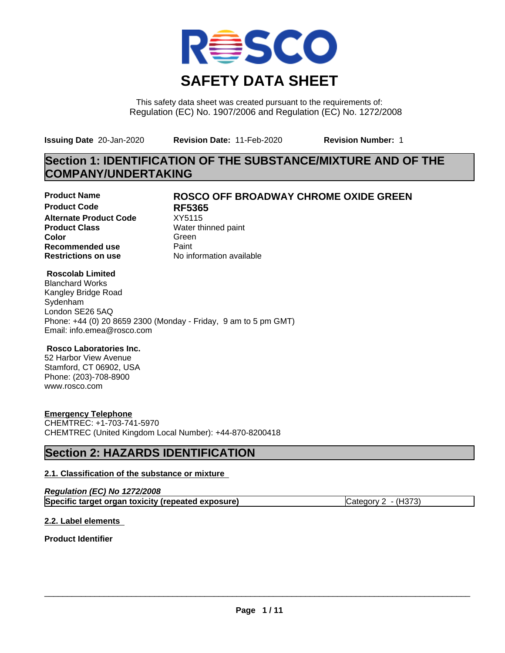

This safety data sheet was created pursuant to the requirements of: Regulation (EC) No. 1907/2006 and Regulation (EC) No. 1272/2008

**Issuing Date** 20-Jan-2020 **Revision Date:** 11-Feb-2020 **Revision Number:** 1

# **Section 1: IDENTIFICATION OF THE SUBSTANCE/MIXTURE AND OF THE COMPANY/UNDERTAKING**

**Product Code RF5365 Alternate Product Code** XY5115<br> **Product Class** Water th **Product Class** Water thinned paint<br> **Color** Green **Color** Green **Green** Green **Green Recommended use** Paint<br> **Restrictions on use** Mo information available **Restrictions on use** 

# **Product Name ROSCO OFF BROADWAY CHROME OXIDE GREEN**

### **Roscolab Limited**

Blanchard Works Kangley Bridge Road Sydenham London SE26 5AQ Phone: +44 (0) 20 8659 2300 (Monday - Friday, 9 am to 5 pm GMT) Email: info.emea@rosco.com

### **Rosco Laboratories Inc.**

52 Harbor View Avenue Stamford, CT 06902, USA Phone: (203)-708-8900 www.rosco.com

### **Emergency Telephone**

CHEMTREC: +1-703-741-5970 CHEMTREC (United Kingdom Local Number): +44-870-8200418

# **Section 2: HAZARDS IDENTIFICATION**

### **2.1. Classification of the substance or mixture**

| Regulation (EC) No 1272/2008                       |                     |
|----------------------------------------------------|---------------------|
| Specific target organ toxicity (repeated exposure) | Category 2 - (H373) |

### **2.2. Label elements**

**Product Identifier**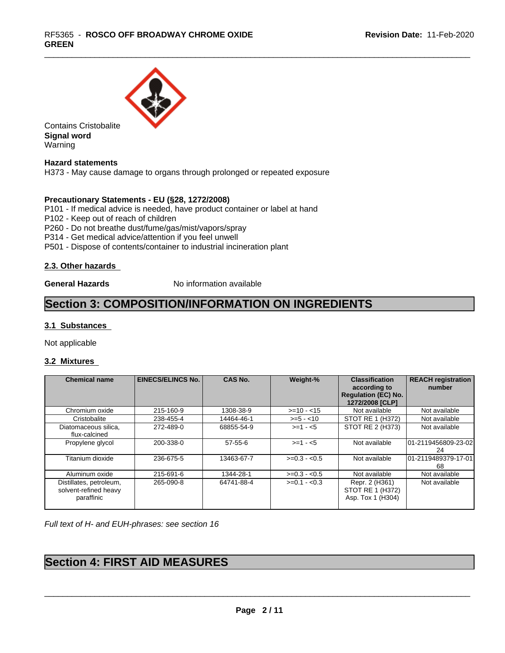

Contains Cristobalite **Signal word** Warning

**Hazard statements**

H373 - May cause damage to organs through prolonged or repeated exposure

### **Precautionary Statements - EU (§28, 1272/2008)**

P101 - If medical advice is needed, have product container or label at hand

P102 - Keep out of reach of children

P260 - Do not breathe dust/fume/gas/mist/vapors/spray

P314 - Get medical advice/attention if you feel unwell

P501 - Dispose of contents/container to industrial incineration plant

### **2.3. Other hazards**

**General Hazards** No information available

# **Section 3: COMPOSITION/INFORMATION ON INGREDIENTS**

### **3.1 Substances**

Not applicable

### **3.2 Mixtures**

| <b>Chemical name</b>                                           | <b>EINECS/ELINCS No.</b> | <b>CAS No.</b> | Weight-%      | <b>Classification</b><br>according to<br><b>Regulation (EC) No.</b><br>1272/2008 [CLP] | <b>REACH registration</b><br>number |
|----------------------------------------------------------------|--------------------------|----------------|---------------|----------------------------------------------------------------------------------------|-------------------------------------|
| Chromium oxide                                                 | 215-160-9                | 1308-38-9      | $>=10 - 15$   | Not available                                                                          | Not available                       |
| Cristobalite                                                   | 238-455-4                | 14464-46-1     | $>= 5 - 10$   | STOT RE 1 (H372)                                                                       | Not available                       |
| Diatomaceous silica.<br>flux-calcined                          | 272-489-0                | 68855-54-9     | $>= 1 - 5$    | STOT RE 2 (H373)                                                                       | Not available                       |
| Propylene glycol                                               | 200-338-0                | $57 - 55 - 6$  | $>=1 - 5$     | Not available                                                                          | 101-2119456809-23-02<br>24          |
| Titanium dioxide                                               | 236-675-5                | 13463-67-7     | $>=0.3 - 0.5$ | Not available                                                                          | 101-2119489379-17-01<br>68          |
| Aluminum oxide                                                 | 215-691-6                | 1344-28-1      | $>=0.3 - 0.5$ | Not available                                                                          | Not available                       |
| Distillates, petroleum,<br>solvent-refined heavy<br>paraffinic | 265-090-8                | 64741-88-4     | $>=0.1 - 0.3$ | Repr. 2 (H361)<br>STOT RE 1 (H372)<br>Asp. Tox 1 (H304)                                | Not available                       |

*Full text of H- and EUH-phrases: see section 16*

# **Section 4: FIRST AID MEASURES**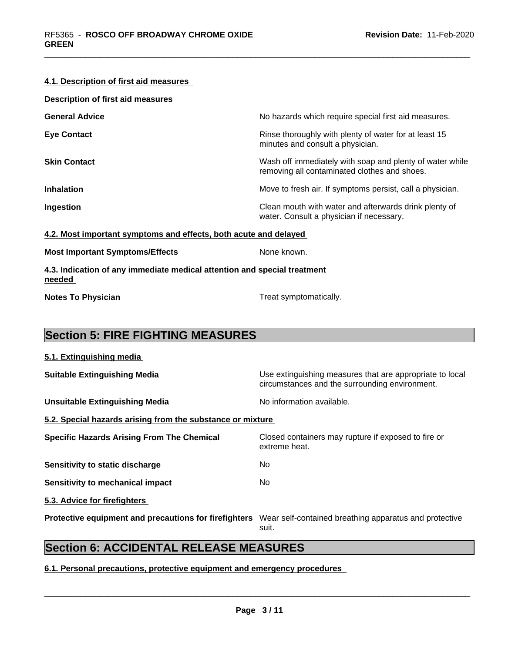### **4.1. Description of first aid measures**

| Description of first aid measures |                                                                                                          |
|-----------------------------------|----------------------------------------------------------------------------------------------------------|
| <b>General Advice</b>             | No hazards which require special first aid measures.                                                     |
| <b>Eye Contact</b>                | Rinse thoroughly with plenty of water for at least 15<br>minutes and consult a physician.                |
| <b>Skin Contact</b>               | Wash off immediately with soap and plenty of water while<br>removing all contaminated clothes and shoes. |
| <b>Inhalation</b>                 | Move to fresh air. If symptoms persist, call a physician.                                                |
| Ingestion                         | Clean mouth with water and afterwards drink plenty of<br>water. Consult a physician if necessary.        |

### **4.2. Most important symptoms and effects, both acute and delayed**

**Most Important Symptoms/Effects** None known.

**4.3. Indication of any immediate medical attention and special treatment needed** 

**Notes To Physician Treat symptomatically.** 

# **Section 5: FIRE FIGHTING MEASURES**

| Use extinguishing measures that are appropriate to local<br>circumstances and the surrounding environment. |
|------------------------------------------------------------------------------------------------------------|
| No information available.                                                                                  |
| 5.2. Special hazards arising from the substance or mixture                                                 |
| Closed containers may rupture if exposed to fire or<br>extreme heat.                                       |
| No.                                                                                                        |
| No.                                                                                                        |
|                                                                                                            |
| Wear self-contained breathing apparatus and protective<br>suit.                                            |
|                                                                                                            |

# **Section 6: ACCIDENTAL RELEASE MEASURES**

### **6.1. Personal precautions, protective equipment and emergency procedures**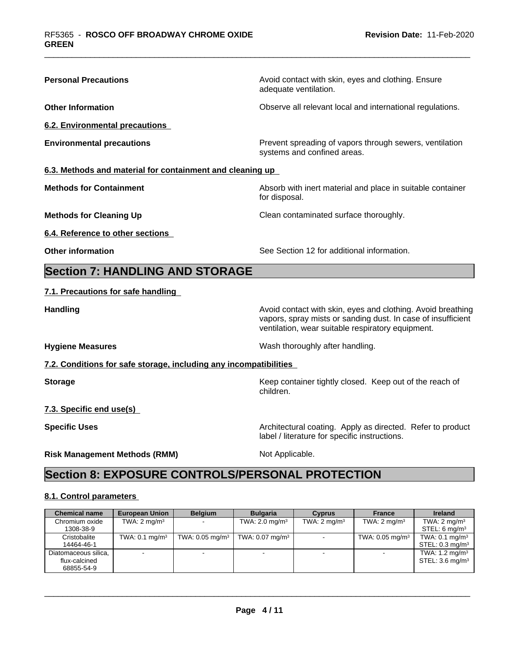| <b>Personal Precautions</b>                                       | Avoid contact with skin, eyes and clothing. Ensure<br>adequate ventilation.                                                                                                      |
|-------------------------------------------------------------------|----------------------------------------------------------------------------------------------------------------------------------------------------------------------------------|
| <b>Other Information</b>                                          | Observe all relevant local and international regulations.                                                                                                                        |
| 6.2. Environmental precautions                                    |                                                                                                                                                                                  |
| <b>Environmental precautions</b>                                  | Prevent spreading of vapors through sewers, ventilation<br>systems and confined areas.                                                                                           |
| 6.3. Methods and material for containment and cleaning up         |                                                                                                                                                                                  |
| <b>Methods for Containment</b>                                    | Absorb with inert material and place in suitable container<br>for disposal.                                                                                                      |
| <b>Methods for Cleaning Up</b>                                    | Clean contaminated surface thoroughly.                                                                                                                                           |
| 6.4. Reference to other sections                                  |                                                                                                                                                                                  |
| <b>Other information</b>                                          | See Section 12 for additional information.                                                                                                                                       |
| <b>Section 7: HANDLING AND STORAGE</b>                            |                                                                                                                                                                                  |
| 7.1. Precautions for safe handling                                |                                                                                                                                                                                  |
| <b>Handling</b>                                                   | Avoid contact with skin, eyes and clothing. Avoid breathing<br>vapors, spray mists or sanding dust. In case of insufficient<br>ventilation, wear suitable respiratory equipment. |
| <b>Hygiene Measures</b>                                           | Wash thoroughly after handling.                                                                                                                                                  |
| 7.2. Conditions for safe storage, including any incompatibilities |                                                                                                                                                                                  |
| <b>Storage</b>                                                    | Keep container tightly closed. Keep out of the reach of<br>children.                                                                                                             |
| 7.3. Specific end use(s)                                          |                                                                                                                                                                                  |
| <b>Specific Uses</b>                                              | Architectural coating. Apply as directed. Refer to product<br>label / literature for specific instructions.                                                                      |
| <b>Risk Management Methods (RMM)</b>                              | Not Applicable.                                                                                                                                                                  |
| <b>Section 8: EXPOSURE CONTROLS/PERSONAL PROTECTION</b>           |                                                                                                                                                                                  |
|                                                                   |                                                                                                                                                                                  |

### **8.1. Control parameters**

| <b>Chemical name</b> | <b>European Union</b>        | <b>Belaium</b>                | <b>Bulgaria</b>               | <b>Cyprus</b>           | <b>France</b>              | <b>Ireland</b>             |
|----------------------|------------------------------|-------------------------------|-------------------------------|-------------------------|----------------------------|----------------------------|
| Chromium oxide       | TWA: $2 \text{ mg/m}^3$      |                               | TWA: 2.0 mg/m $3$             | TWA: $2 \text{ mg/m}^3$ | TWA: $2 \text{ mg/m}^3$    | TWA: $2 \text{ mq/m}^3$    |
| 1308-38-9            |                              |                               |                               |                         |                            | STEL: 6 mg/m <sup>3</sup>  |
| Cristobalite         | TWA: $0.1$ mg/m <sup>3</sup> | TWA: $0.05$ mg/m <sup>3</sup> | TWA: $0.07$ mg/m <sup>3</sup> |                         | TWA: $0.05 \text{ mg/m}^3$ | TWA: $0.1 \text{ mg/m}^3$  |
| 14464-46-1           |                              |                               |                               |                         |                            | STEL: $0.3 \text{ mg/m}^3$ |
| Diatomaceous silica, |                              | $\overline{\phantom{0}}$      |                               |                         |                            | TWA: $1.2 \text{ mg/m}^3$  |
| flux-calcined        |                              |                               |                               |                         |                            | STEL: $3.6 \text{ mg/m}^3$ |
| 68855-54-9           |                              |                               |                               |                         |                            |                            |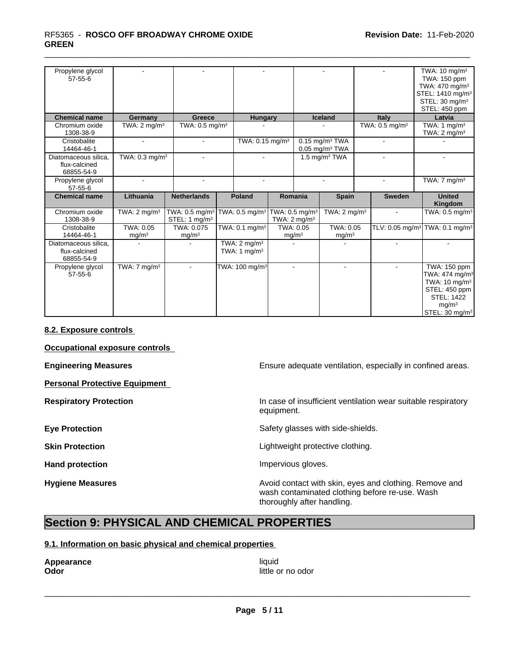### \_\_\_\_\_\_\_\_\_\_\_\_\_\_\_\_\_\_\_\_\_\_\_\_\_\_\_\_\_\_\_\_\_\_\_\_\_\_\_\_\_\_\_\_\_\_\_\_\_\_\_\_\_\_\_\_\_\_\_\_\_\_\_\_\_\_\_\_\_\_\_\_\_\_\_\_\_\_\_\_\_\_\_\_\_\_\_\_\_\_\_\_\_ RF5365 - **ROSCO OFF BROADWAY CHROME OXIDE GREEN**

| Propylene glycol<br>$57 - 55 - 6$                   |                                |                                                         |                                                       |  |                                |                                                              |                            | TWA: $10 \text{ mg/m}^3$<br>TWA: 150 ppm<br>TWA: 470 mg/m <sup>3</sup><br>STEL: 1410 mg/m <sup>3</sup><br>STEL: 30 mg/m <sup>3</sup><br>STEL: 450 ppm |
|-----------------------------------------------------|--------------------------------|---------------------------------------------------------|-------------------------------------------------------|--|--------------------------------|--------------------------------------------------------------|----------------------------|-------------------------------------------------------------------------------------------------------------------------------------------------------|
| <b>Chemical name</b>                                | Germany                        | Greece                                                  | <b>Hungary</b>                                        |  |                                | <b>Iceland</b>                                               | Italy                      | Latvia                                                                                                                                                |
| Chromium oxide<br>1308-38-9                         | TWA: $2 \text{ mg/m}^3$        | TWA: $0.5 \text{ mg/m}^3$                               |                                                       |  |                                |                                                              | TWA: 0.5 mg/m <sup>3</sup> | TWA: $1 \text{ mg/m}^3$<br>TWA: $2 \text{ mg/m}^3$                                                                                                    |
| Cristobalite<br>14464-46-1                          |                                | $\blacksquare$                                          | TWA: 0.15 mg/m <sup>3</sup>                           |  |                                | $0.15$ mg/m <sup>3</sup> TWA<br>$0.05$ mg/m <sup>3</sup> TWA |                            |                                                                                                                                                       |
| Diatomaceous silica,<br>flux-calcined<br>68855-54-9 | TWA: 0.3 mg/m <sup>3</sup>     |                                                         |                                                       |  |                                | 1.5 mg/m $3$ TWA                                             |                            |                                                                                                                                                       |
| Propylene glycol<br>$57 - 55 - 6$                   |                                | ٠                                                       | $\overline{a}$                                        |  |                                |                                                              |                            | TWA: $7 \text{ mg/m}^3$                                                                                                                               |
| <b>Chemical name</b>                                | Lithuania                      | <b>Netherlands</b>                                      | Poland                                                |  | Romania                        | <b>Spain</b>                                                 | <b>Sweden</b>              | <b>United</b><br>Kingdom                                                                                                                              |
| Chromium oxide<br>1308-38-9                         | TWA: $2 \text{ mg/m}^3$        | TWA: 0.5 mg/m <sup>3</sup><br>STEL: 1 mg/m <sup>3</sup> | TWA: 0.5 mg/m <sup>3</sup> TWA: 0.5 mg/m <sup>3</sup> |  | TWA: $2 \text{ mg/m}^3$        | TWA: $2 \text{ mg/m}^3$                                      |                            | TWA: 0.5 mg/m <sup>3</sup>                                                                                                                            |
| Cristobalite<br>14464-46-1                          | TWA: 0.05<br>mg/m <sup>3</sup> | TWA: 0.075<br>mg/m <sup>3</sup>                         | TWA: $0.1$ mg/m <sup>3</sup>                          |  | TWA: 0.05<br>mg/m <sup>3</sup> | TWA: 0.05<br>mg/m <sup>3</sup>                               |                            | TLV: 0.05 mg/m <sup>3</sup> TWA: 0.1 mg/m <sup>3</sup>                                                                                                |
| Diatomaceous silica,<br>flux-calcined<br>68855-54-9 |                                |                                                         | TWA: $2 \text{ mg/m}^3$<br>TWA: 1 $mg/m3$             |  |                                |                                                              |                            |                                                                                                                                                       |
| Propylene glycol<br>$57 - 55 - 6$                   | TWA: $7 \text{ mg/m}^3$        | $\sim$                                                  | TWA: 100 mg/m <sup>3</sup>                            |  | $\blacksquare$                 | $\sim$                                                       | $\blacksquare$             | TWA: 150 ppm<br>TWA: 474 mg/m <sup>3</sup><br>TWA: 10 mg/m <sup>3</sup><br>STEL: 450 ppm<br><b>STEL: 1422</b><br>mg/m <sup>3</sup>                    |

### **8.2. Exposure controls**

**Occupational exposure controls**

**Personal Protective Equipment**

**Engineering Measures Ensure adequate ventilation, especially in confined areas.** 

**Respiratory Protection In case of insufficient ventilation wear suitable respiratory** equipment.

**Eye Protection** Safety glasses with side-shields.

**Skin Protection Skin Protection Lightweight protective clothing.** 

Hand protection **Impervious** gloves.

**Hygiene Measures Avoid contact with skin, eyes and clothing. Remove and Avoid contact with skin, eyes and clothing. Remove and Avoid contact with skin, eyes and clothing. Remove and** wash contaminated clothing before re-use. Wash thoroughly after handling.

# **Section 9: PHYSICAL AND CHEMICAL PROPERTIES**

### **9.1. Information on basic physical and chemical properties**

**Appearance** liquid<br> **Appearance** liquid<br> **Odor** 

**Odor** little or no odor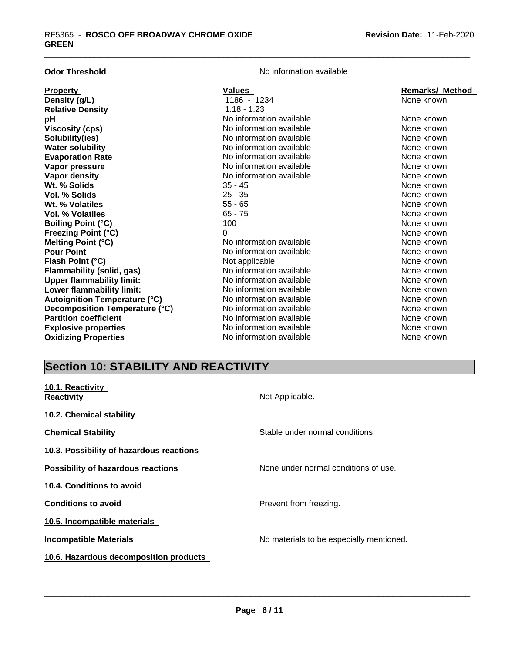| <b>Odor Threshold</b>                | No information available |                        |
|--------------------------------------|--------------------------|------------------------|
| <b>Property</b>                      | <b>Values</b>            | <b>Remarks/ Method</b> |
| Density (g/L)                        | 1186 - 1234              | None known             |
| <b>Relative Density</b>              | $1.18 - 1.23$            |                        |
| рH                                   | No information available | None known             |
| <b>Viscosity (cps)</b>               | No information available | None known             |
| Solubility(ies)                      | No information available | None known             |
| <b>Water solubility</b>              | No information available | None known             |
| <b>Evaporation Rate</b>              | No information available | None known             |
| Vapor pressure                       | No information available | None known             |
| Vapor density                        | No information available | None known             |
| Wt. % Solids                         | $35 - 45$                | None known             |
| Vol. % Solids                        | $25 - 35$                | None known             |
| Wt. % Volatiles                      | $55 - 65$                | None known             |
| <b>Vol. % Volatiles</b>              | $65 - 75$                | None known             |
| <b>Boiling Point (°C)</b>            | 100                      | None known             |
| <b>Freezing Point (°C)</b>           | 0                        | None known             |
| Melting Point (°C)                   | No information available | None known             |
| <b>Pour Point</b>                    | No information available | None known             |
| Flash Point (°C)                     | Not applicable           | None known             |
| <b>Flammability (solid, gas)</b>     | No information available | None known             |
| <b>Upper flammability limit:</b>     | No information available | None known             |
| Lower flammability limit:            | No information available | None known             |
| <b>Autoignition Temperature (°C)</b> | No information available | None known             |
| Decomposition Temperature (°C)       | No information available | None known             |
| <b>Partition coefficient</b>         | No information available | None known             |
| <b>Explosive properties</b>          | No information available | None known             |
| <b>Oxidizing Properties</b>          | No information available | None known             |

# **Section 10: STABILITY AND REACTIVITY**

| 10.1. Reactivity<br><b>Reactivity</b>     | Not Applicable.                          |
|-------------------------------------------|------------------------------------------|
| 10.2. Chemical stability                  |                                          |
| <b>Chemical Stability</b>                 | Stable under normal conditions.          |
| 10.3. Possibility of hazardous reactions  |                                          |
| <b>Possibility of hazardous reactions</b> | None under normal conditions of use.     |
| 10.4. Conditions to avoid                 |                                          |
| <b>Conditions to avoid</b>                | Prevent from freezing.                   |
| 10.5. Incompatible materials              |                                          |
| <b>Incompatible Materials</b>             | No materials to be especially mentioned. |
| 10.6. Hazardous decomposition products    |                                          |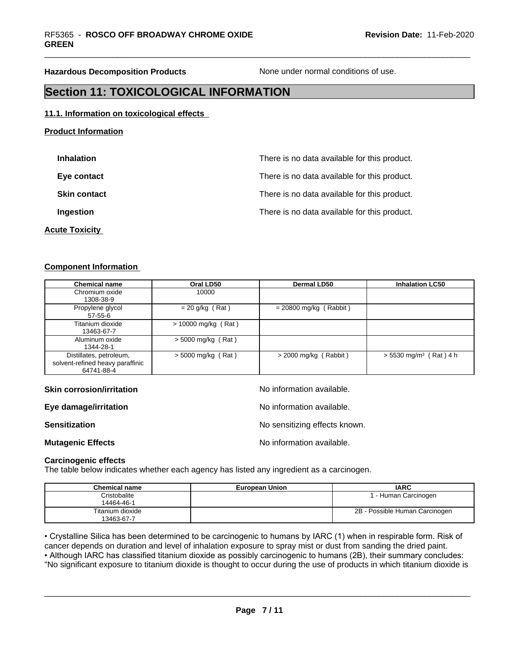**Hazardous Decomposition Products** None under normal conditions of use.

# **Section 11: TOXICOLOGICAL INFORMATION**

### **11.1. Information on toxicological effects**

| <b>Inhalation</b>     | There is no data available for this product. |
|-----------------------|----------------------------------------------|
| Eye contact           | There is no data available for this product. |
| <b>Skin contact</b>   | There is no data available for this product. |
| Ingestion             | There is no data available for this product. |
| <b>Acute Toxicity</b> |                                              |

### **Component Information**

**Product Information**

| <b>Chemical name</b>                                                      | Oral LD50             | <b>Dermal LD50</b>       | <b>Inhalation LC50</b>               |
|---------------------------------------------------------------------------|-----------------------|--------------------------|--------------------------------------|
| Chromium oxide<br>1308-38-9                                               | 10000                 |                          |                                      |
| Propylene glycol<br>$57 - 55 - 6$                                         | $= 20$ g/kg (Rat)     | $= 20800$ mg/kg (Rabbit) |                                      |
| Titanium dioxide<br>13463-67-7                                            | $> 10000$ mg/kg (Rat) |                          |                                      |
| Aluminum oxide<br>1344-28-1                                               | $>$ 5000 mg/kg (Rat)  |                          |                                      |
| Distillates, petroleum,<br>solvent-refined heavy paraffinic<br>64741-88-4 | $>$ 5000 mg/kg (Rat)  | $>$ 2000 mg/kg (Rabbit)  | $> 5530$ mg/m <sup>3</sup> (Rat) 4 h |

### **Skin corrosion/irritation No information available.** No information available.

**Eye damage/irritation Eye damage/irritation No information available.** 

# **Sensitization Sensitization Sensitizing effects known.**

**Mutagenic Effects Mutagenic Effects No information available.** 

 $\overline{\phantom{a}}$  ,  $\overline{\phantom{a}}$  ,  $\overline{\phantom{a}}$  ,  $\overline{\phantom{a}}$  ,  $\overline{\phantom{a}}$  ,  $\overline{\phantom{a}}$  ,  $\overline{\phantom{a}}$  ,  $\overline{\phantom{a}}$  ,  $\overline{\phantom{a}}$  ,  $\overline{\phantom{a}}$  ,  $\overline{\phantom{a}}$  ,  $\overline{\phantom{a}}$  ,  $\overline{\phantom{a}}$  ,  $\overline{\phantom{a}}$  ,  $\overline{\phantom{a}}$  ,  $\overline{\phantom{a}}$ 

### **Carcinogenic effects**

The table below indicates whether each agency has listed any ingredient as a carcinogen.

| <b>Chemical name</b> | <b>European Union</b> | <b>IARC</b>                    |
|----------------------|-----------------------|--------------------------------|
| Cristobalite         |                       | l - Human Carcinogen           |
| 14464-46-1           |                       |                                |
| Titanium dioxide     |                       | 2B - Possible Human Carcinogen |
| 13463-67-7           |                       |                                |

• Crystalline Silica has been determined to be carcinogenic to humans by IARC (1) when in respirable form. Risk of cancer depends on duration and level of inhalation exposure to spray mist or dust from sanding the dried pa cancer depends on duration and level of inhalation exposure to spray mist or dust from sanding the dried paint.• Although IARC has classified titanium dioxide as possibly carcinogenic to humans (2B), their summary concludes: "No significant exposure to titanium dioxide is thought to occur during the use of products in which titanium dioxide is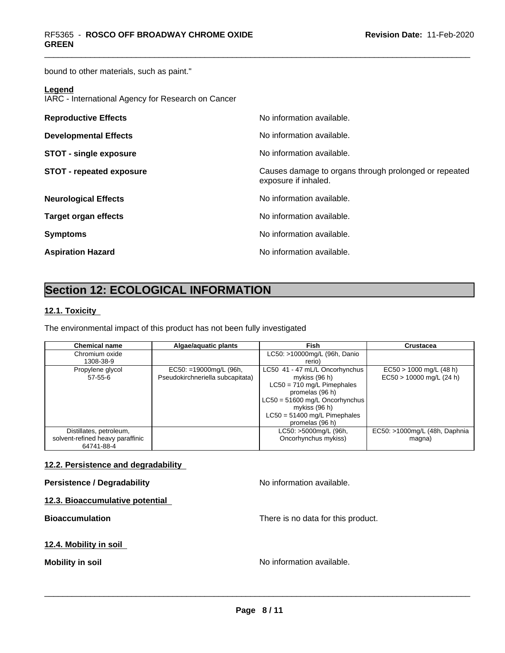bound to other materials, such as paint."

### **Legend**

IARC - International Agency for Research on Cancer

| <b>Reproductive Effects</b>     | No information available.                                                     |
|---------------------------------|-------------------------------------------------------------------------------|
| <b>Developmental Effects</b>    | No information available.                                                     |
| <b>STOT - single exposure</b>   | No information available.                                                     |
| <b>STOT - repeated exposure</b> | Causes damage to organs through prolonged or repeated<br>exposure if inhaled. |
| <b>Neurological Effects</b>     | No information available.                                                     |
| <b>Target organ effects</b>     | No information available.                                                     |
| <b>Symptoms</b>                 | No information available.                                                     |
| <b>Aspiration Hazard</b>        | No information available.                                                     |

# **Section 12: ECOLOGICAL INFORMATION**

### **12.1. Toxicity**

The environmental impact of this product has not been fully investigated

| <b>Chemical name</b>             | Algae/aguatic plants             | Fish                             | Crustacea                     |
|----------------------------------|----------------------------------|----------------------------------|-------------------------------|
| Chromium oxide                   |                                  | LC50: >10000mg/L (96h, Danio     |                               |
| 1308-38-9                        |                                  | rerio)                           |                               |
| Propylene glycol                 | $EC50: = 19000mg/L$ (96h,        | LC50 41 - 47 mL/L Oncorhynchus   | $EC50 > 1000$ mg/L (48 h)     |
| $57-55-6$                        | Pseudokirchneriella subcapitata) | mykiss $(96 h)$                  | $EC50 > 10000$ mg/L (24 h)    |
|                                  |                                  | $LC50 = 710$ mg/L Pimephales     |                               |
|                                  |                                  | promelas (96 h)                  |                               |
|                                  |                                  | $LC50 = 51600$ mg/L Oncorhynchus |                               |
|                                  |                                  | mykiss $(96 h)$                  |                               |
|                                  |                                  | $LC50 = 51400$ mg/L Pimephales   |                               |
|                                  |                                  | promelas (96 h)                  |                               |
| Distillates, petroleum,          |                                  | LC50: >5000mg/L (96h,            | EC50: >1000mg/L (48h, Daphnia |
| solvent-refined heavy paraffinic |                                  | Oncorhynchus mykiss)             | magna)                        |
| 64741-88-4                       |                                  |                                  |                               |

### **12.2. Persistence and degradability**

### **Persistence / Degradability No information available.**

**12.3. Bioaccumulative potential**

**Bioaccumulation** There is no data for this product.

### **12.4. Mobility in soil**

**Mobility in soil Mobility in soil Mobility in soil Mo Mo information available.**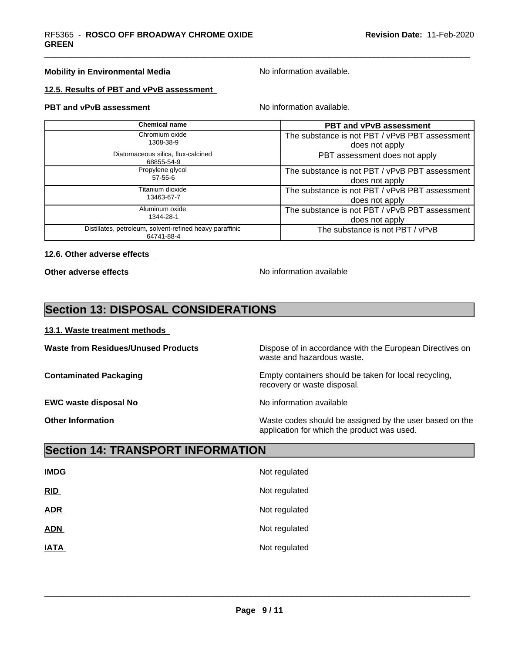### **Mobility in Environmental Media** Noinformation available.

### **12.5. Results of PBT and vPvB assessment**

### **PBT and vPvB assessment** No information available.

| <b>Chemical name</b>                                                   | <b>PBT and vPvB assessment</b>                 |
|------------------------------------------------------------------------|------------------------------------------------|
| Chromium oxide<br>1308-38-9                                            | The substance is not PBT / vPvB PBT assessment |
|                                                                        | does not apply                                 |
| Diatomaceous silica, flux-calcined<br>68855-54-9                       | PBT assessment does not apply                  |
| Propylene glycol                                                       | The substance is not PBT / vPvB PBT assessment |
| $57 - 55 - 6$                                                          | does not apply                                 |
| Titanium dioxide                                                       | The substance is not PBT / vPvB PBT assessment |
| 13463-67-7                                                             | does not apply                                 |
| Aluminum oxide                                                         | The substance is not PBT / vPvB PBT assessment |
| 1344-28-1                                                              | does not apply                                 |
| Distillates, petroleum, solvent-refined heavy paraffinic<br>64741-88-4 | The substance is not PBT / vPvB                |

### **12.6. Other adverse effects**

**Other adverse effects** No information available

# **Section 13: DISPOSAL CONSIDERATIONS**

### **13.1. Waste treatment methods**

**EWC waste disposal No No information available EWC** waste disposal No

**Waste from Residues/Unused Products** Dispose of in accordance with the European Directives on waste and hazardous waste.

**Contaminated Packaging <b>Empty Containers** should be taken for local recycling, recovery or waste disposal.

 $\overline{\phantom{a}}$  ,  $\overline{\phantom{a}}$  ,  $\overline{\phantom{a}}$  ,  $\overline{\phantom{a}}$  ,  $\overline{\phantom{a}}$  ,  $\overline{\phantom{a}}$  ,  $\overline{\phantom{a}}$  ,  $\overline{\phantom{a}}$  ,  $\overline{\phantom{a}}$  ,  $\overline{\phantom{a}}$  ,  $\overline{\phantom{a}}$  ,  $\overline{\phantom{a}}$  ,  $\overline{\phantom{a}}$  ,  $\overline{\phantom{a}}$  ,  $\overline{\phantom{a}}$  ,  $\overline{\phantom{a}}$ 

**Other Information** Maste codes should be assigned by the user based on the user based on the application for which the product was used.

# **Section 14: TRANSPORT INFORMATION**

| <b>IMDG</b> | Not regulated |
|-------------|---------------|
| RID         | Not regulated |
| <b>ADR</b>  | Not regulated |
| <b>ADN</b>  | Not regulated |
| <b>IATA</b> | Not regulated |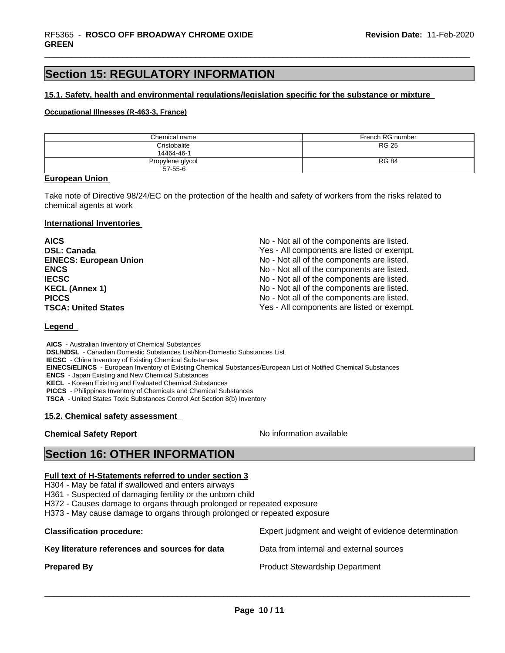# **Section 15: REGULATORY INFORMATION**

### **15.1. Safety, health and environmental regulations/legislation specific for the substance or mixture**

### **Occupational Illnesses (R-463-3, France)**

| Chemical name    | French RG number |
|------------------|------------------|
| Cristobalite     | <b>RG 25</b>     |
| 14464-46-1       |                  |
| Propylene glycol | <b>RG 84</b>     |
| $57 - 55 - 6$    |                  |

### **European Union**

Take note of Directive 98/24/EC on the protection of the health and safety of workers from the risks related to chemical agents at work

### **International Inventories**

| <b>AICS</b>                   | No - Not all of the components are listed. |
|-------------------------------|--------------------------------------------|
| <b>DSL: Canada</b>            | Yes - All components are listed or exempt. |
| <b>EINECS: European Union</b> | No - Not all of the components are listed. |
| <b>ENCS</b>                   | No - Not all of the components are listed. |
| <b>IECSC</b>                  | No - Not all of the components are listed. |
| <b>KECL (Annex 1)</b>         | No - Not all of the components are listed. |
| <b>PICCS</b>                  | No - Not all of the components are listed. |
| <b>TSCA: United States</b>    | Yes - All components are listed or exempt. |

### **Legend**

 **AICS** - Australian Inventory of Chemical Substances  **DSL/NDSL** - Canadian Domestic Substances List/Non-Domestic Substances List  **IECSC** - China Inventory of Existing Chemical Substances  **EINECS/ELINCS** - European Inventory of Existing Chemical Substances/European List of Notified Chemical Substances  **ENCS** - Japan Existing and New Chemical Substances  **KECL** - Korean Existing and Evaluated Chemical Substances  **PICCS** - Philippines Inventory of Chemicals and Chemical Substances

 **TSCA** - United States Toxic Substances Control Act Section 8(b) Inventory

### **15.2. Chemical safety assessment**

### **Chemical Safety Report** No information available

 $\overline{\phantom{a}}$  ,  $\overline{\phantom{a}}$  ,  $\overline{\phantom{a}}$  ,  $\overline{\phantom{a}}$  ,  $\overline{\phantom{a}}$  ,  $\overline{\phantom{a}}$  ,  $\overline{\phantom{a}}$  ,  $\overline{\phantom{a}}$  ,  $\overline{\phantom{a}}$  ,  $\overline{\phantom{a}}$  ,  $\overline{\phantom{a}}$  ,  $\overline{\phantom{a}}$  ,  $\overline{\phantom{a}}$  ,  $\overline{\phantom{a}}$  ,  $\overline{\phantom{a}}$  ,  $\overline{\phantom{a}}$ 

## **Section 16: OTHER INFORMATION**

### **Full text of H-Statements referred to under section 3**

H304 - May be fatal if swallowed and enters airways

H361 - Suspected of damaging fertility or the unborn child

H372 - Causes damage to organs through prolonged or repeated exposure

H373 - May cause damage to organs through prolonged or repeated exposure

| <b>Classification procedure:</b>               | Expert judgment and weight of evidence determination |
|------------------------------------------------|------------------------------------------------------|
| Key literature references and sources for data | Data from internal and external sources              |
| <b>Prepared By</b>                             | <b>Product Stewardship Department</b>                |
|                                                |                                                      |